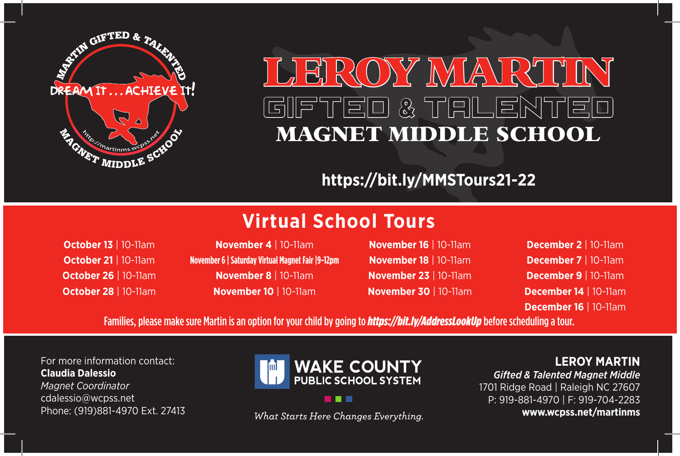

# LEROY MARTUN GIFTED **&** TALENTED MAGNET MIDDLE SCHOOL

### **https://bit.ly/MMSTours21-22**

# **Virtual School Tours**

**October 13** | 10-11am **October 21** | 10-11am **October 26** | 10-11am **October 28** | 10-11am

**November 4** | 10-11am **November 6 | Saturday Virtual Magnet Fair |9-12pm November 8** | 10-11am **November 10** | 10-11am

**November 16** | 10-11am **November 18** | 10-11am **November 23** | 10-11am **November 30** | 10-11am

- **December 2** | 10-11am **December 7** | 10-11am **December 9** | 10-11am
- **December 14** | 10-11am
- **December 16** | 10-11am

Families, please make sure Martin is an option for your child by going to *https://bit.ly/AddressLookUp* before scheduling a tour.

For more information contact: **Claudia Dalessio**

*Magnet Coordinator* cdalessio@wcpss.net Phone: (919)881-4970 Ext. 27413



---What Starts Here Changes Everything.

#### **LEROY MARTIN**

*Gifted & Talented Magnet Middle* 1701 Ridge Road | Raleigh NC 27607 P: 919-881-4970 | F: 919-704-2283 **www.wcpss.net/martinms**